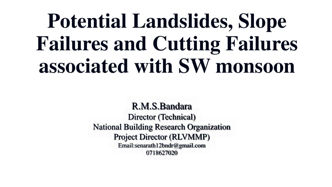## **Potential Landslides, Slope Failures and Cutting Failures associated with SW monsoon**

R.M.S.Bandara Director (Technical) National Building Research Organization Project Director (RLVMMP) Email:senarath12bndr@gmail.com 0718627020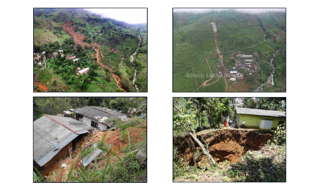





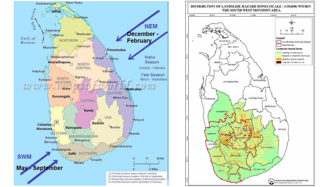

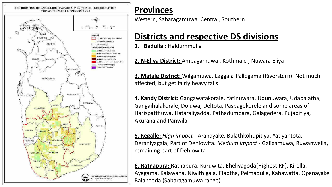

#### **Provinces**

Western, Sabaragamuwa, Central, Southern

#### **Districts and respective DS divisions**

**1. Badulla :** Haldummulla

**2. N-Eliya District:** Ambagamuwa , Kothmale , Nuwara Eliya

**3. Matale District:** Wilgamuwa, Laggala-Pallegama (Riverstern). Not much affected, but get fairly heavy falls

**4. Kandy District:** Gangawatakorale, Yatinuwara, Udunuwara, Udapalatha, Gangaihalakorale, Doluwa, Deltota, Pasbagekorele and some areas of Harispatthuwa, Hataraliyadda, Pathadumbara, Galagedera, Pujapitiya, Akurana and Panwila

**5. Kegalle:** *High impact* - Aranayake, Bulathkohupitiya, Yatiyantota, Deraniyagala, Part of Dehiowita. *Medium impact* - Galigamuwa, Ruwanwella, remaining part of Dehiowita

**6. Ratnapura:** Ratnapura, Kuruwita, Eheliyagoda(Highest RF), Kirella, Ayagama, Kalawana, Niwithigala, Elaptha, Pelmadulla, Kahawatta, Opanayake Balangoda (Sabaragamuwa range)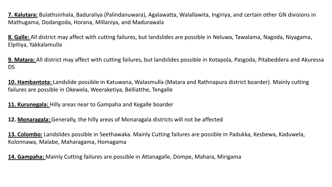**7. Kalutara:** Bulathsinhala, Baduraliya (Palindanuwara), Agalawatta, Walallawita, Ingiriya, and certain other GN divisions in Mathugama, Dodangoda, Horana, Millaniya, and Madurawala

**8. Galle:** All district may affect with cutting failures, but landslides are possible in Neluwa, Tawalama, Nagoda, Niyagama, Elpitiya, Yakkalamulla

**9. Matara:** All district may affect with cutting failures, but landslides possible in Kotapola, Pasgoda, Pitabeddera and Akuressa DS

**10. Hambantota:** Landslide possible in Katuwana, Walasmulla (Matara and Rathnapura district boarder). Mainly cutting failures are possible in Okewela, Weeraketiya, Belliatthe, Tengalle

**11. Kurunegala:** Hilly areas near to Gampaha and Kegalle boarder

**12. Monaragala:** Generally, the hilly areas of Monaragala districts will not be affected

**13. Colombo:** Landslides possible in Seethawaka. Mainly Cutting failures are possible in Padukka, Kesbewa, Kaduwela, Kolonnawa, Malabe, Maharagama, Homagama

**14. Gampaha:** Mainly Cutting failures are possible in Attanagalle, Dompe, Mahara, Mirigama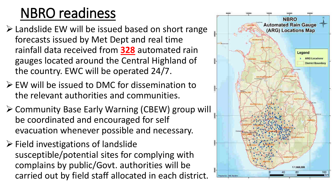### NBRO readiness

- Landslide EW will be issued based on short range forecasts issued by Met Dept and real time rainfall data received from **328** automated rain gauges located around the Central Highland of the country. EWC will be operated 24/7.
- EW will be issued to DMC for dissemination to the relevant authorities and communities.
- ▶ Community Base Early Warning (CBEW) group will be coordinated and encouraged for self evacuation whenever possible and necessary.
- $\triangleright$  Field investigations of landslide susceptible/potential sites for complying with complains by public/Govt. authorities will be carried out by field staff allocated in each district.

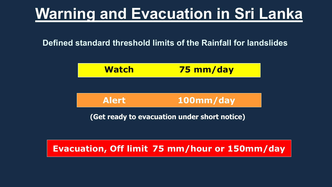### **Warning and Evacuation in Sri Lanka**

#### **Defined standard threshold limits of the Rainfall for landslides**

| <b>Watch</b>                                 | 75 mm/day |  |
|----------------------------------------------|-----------|--|
|                                              |           |  |
| <b>Alert</b>                                 | 100mm/day |  |
| (Get ready to evacuation under short notice) |           |  |

#### **Evacuation, Off limit 75 mm/hour or 150mm/day**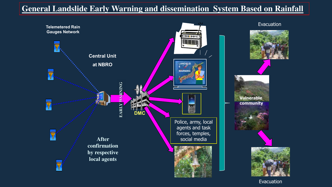#### **General Landslide Early Warning and dissemination System Based on Rainfall**



#### **Evacuation**



Evacuation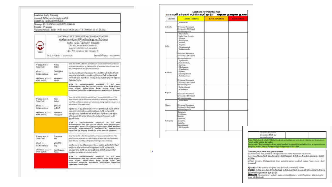| anifalida Early Warning<br>පයයැඳි පිළිබඳ පෙර සෝයුව, ගුණ්රිම්<br>sun-Say making material<br>Менная ID: LEWM-16-05-2021. 1906-18.<br>sidate: A* apidate                                    | Calidex Henric, Frame 10:00 Jun and 10:05 2022 Tax 0.00 Jess and 17:05:2021.                                                                                                                                                                                                                                                                                                                                                                                                                                                                                                                                                   |  |  |
|------------------------------------------------------------------------------------------------------------------------------------------------------------------------------------------|--------------------------------------------------------------------------------------------------------------------------------------------------------------------------------------------------------------------------------------------------------------------------------------------------------------------------------------------------------------------------------------------------------------------------------------------------------------------------------------------------------------------------------------------------------------------------------------------------------------------------------|--|--|
|                                                                                                                                                                                          | NATIONAL BUILDING RESEARCH ORDANISATION<br>ජාතික ගොඩනාගිලි පරිසේමණ සංවිධ්යය<br>burbs Ario: "Amular Knowall<br>No. 99's, hovera illust Faluator IV.<br>han MY Abbells and Amazik H.<br>this PC sealing all forger in<br>Fechion Carp. - Inc. Common<br>24元的风格第二 的复数同步                                                                                                                                                                                                                                                                                                                                                           |  |  |
| Wasau kuti:<br><b>Water</b><br>2.0004<br><b>Exector</b><br>544535<br># 0.0531<br>Codi prime<br><b>SHOW:</b><br><b><i>SHIFBAS KCLS I</i></b><br>anerdia<br>400 803<br><b>Address</b>      | Los form hy a more to pall it has he as executive. I fix an<br>bettitions, he superfect on the process office of helyemizes, order follows, over<br>BEL CONTROLLED ENTERTAINMENT<br>had had high light of the screenes and a control and<br>folgetief of the State German Bo britain and<br>helde based after an annual and the Desche<br>Emirkaya cycles.<br>exploit 1. 100 am<br>acks in perceive series<br>featurepool-leg-lan.goule veters was hop ingex<br>into signa, podoctorio dalla signa citar and<br>a messa internet radiological seattline brown                                                                  |  |  |
| Transport 2<br>kier.<br><b>Exector</b><br><b>Address</b><br>whed 21<br>etitus<br>1200<br>DOM RETIRE<br><b>Industries Accept Co.</b><br>administrator 1<br>what actual<br><b>Designed</b> | See 29 permit situs ma pan or hau's to numines connect PDS<br>previation be a bet to be animity of well enjoy them.<br>tol: 6% or Nominage and similary, dety wants equate to it<br>rafarisination dirette valadi arranti<br>ngtir mi il qa banoony iti ongeleki isti kilal tale il<br>strategic das Andrail vers and audit with a different land and the control of<br>With parent full spinister and and a contract under<br>genell fisite.<br>and by it letters and the construction of an<br>belongen on he could entite the bearings<br>restien & looks rentice act Smith Bosine                                          |  |  |
| EXHIBE 9944.8-<br><b>TELEVISION</b><br>Don't be<br>lini.<br>فالصرم<br>alass.<br>A calendary<br>٠m<br>abstrace will be<br><b>Hart Rogers</b><br>when white.<br>ann a                      | inter tim timbal autos (for particle) associate recomme (Milver), P. Etc.<br>beliefstreet wordselbe help in bling Stande the Friendstreet.<br>stow fishers, rise has, Subtractions are grown additions.<br>im to suit to breecost them selected auto their<br>Kolov ho Allo che Adol annun fin blockstrock<br>had clear fluid de David en Dische art Policies<br>Automobile automobile of the collection<br>acts (i) unfamousable imposed (i) (i) and<br>Baladesamo any iza point celefa min Bola Hipha<br>cent rights. Selections data vigne cips and<br>autopad emages achieve amagine inputies<br><b>Charles Committees</b> |  |  |

| <b>Locations for Potential Risk</b><br>නායකල මේ අවදානම පැවතිය හැකි පුදේශ <b>කෙරියක සාගයක ම</b> ය |                                                                                                                                                                                                                         |                 |                               |  |
|--------------------------------------------------------------------------------------------------|-------------------------------------------------------------------------------------------------------------------------------------------------------------------------------------------------------------------------|-----------------|-------------------------------|--|
| District                                                                                         | Level 1 (Yellow).                                                                                                                                                                                                       | Level 2 (Amber) | <b><i><u>Distance</u></i></b> |  |
| Colombo.                                                                                         | Sexteretta<br>Drivinnal Secretarial<br>Dreidinger (DSD) and<br>sunsunding areas.                                                                                                                                        |                 |                               |  |
| <b>Salle</b>                                                                                     | - Theweleterna<br>Lially Four Gerren.<br>L'Equitoria.<br>Daddress<br>Nelson's<br>Nazadic<br>Nevermania and<br><b>Yakkalamella</b><br>Drivingal Societatal<br>Divisions of first is and                                  |                 |                               |  |
| Cahamar.                                                                                         | surrounding areas.<br>L'Amilenatia.<br><b>Hutshaumda</b><br>Lingeron.<br>Methopins.<br>Walallawm.<br>1 Morrison<br>Dischenmelt mad<br>Pullstanemark<br>Drivinimal Secretarial<br>Dyrium(s) (DSD) and<br>summabig areas. |                 |                               |  |
| Gasalle                                                                                          | Difference and<br>J. Warnknevida<br>Directed Secretarut<br>Divisionful (DND) and<br>surrounding areas                                                                                                                   |                 |                               |  |
| Moment                                                                                           | Friskelles<br>Divisional Secretarist<br>Division(a) (DND) and<br>communities areas                                                                                                                                      |                 |                               |  |
| <b>Cattagona</b>                                                                                 | <b>Harmonics</b><br>Nevitheasta.<br>Kiciella:<br>Calabriana.<br>NYAHAWAK,<br>Electrofist.<br>Committe and<br>  Definancia                                                                                               |                 |                               |  |

 $\sim$ 

Distanced Systems of Division(s) (DSD) and committee area. New Secondary Section 15 (including the Secondary Section and Area 11) (including two lookings of the political diffusion plans and a state of the control of the state of the control of the state of the control of the control of the control of the control of the control of the control of the control of the control of t Areas and phases which used special attraction<br>All reconstraints areas, manuals can depen and mails within the referent DS distances<br>අපලාල ලාංජලිකිය හද්ගමේ කොටෝඨාශ කලා හිනිව් හඳුනාර බැඳුම් හා ඒ ඇඳුම්ක ලහද්ග කලා සිතිවි<br>ක්ර **Hadaward** Specially: All the landslike morepolds area previously identified by SDRO.<br>විෂේෂ්ෂ, ස්ක්කා කොඩනැගිලි සජ්යේෂණ වැඩිවාහය විසින් කායයැමෙම අවදානමක් ඇති සලබ n Čenasi mjermana po mnosno motoros ona prospen govorna gal ava<br>**Marina** General mi godor gan remodigano i umetopinu gazonista<br>ena chizonina: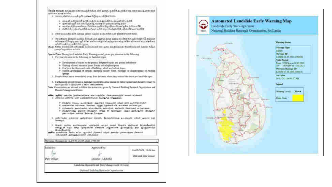

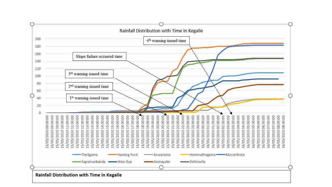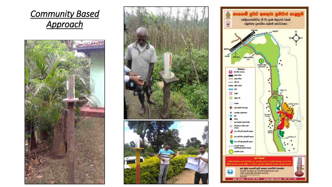#### *Community Based Approach*





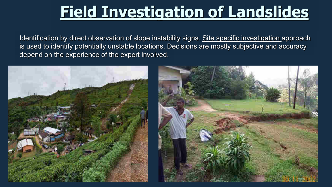## **Field Investigation of Landslides**

Identification by direct observation of slope instability signs. Site specific investigation approach is used to identify potentially unstable locations. Decisions are mostly subjective and accuracy depend on the experience of the expert involved.

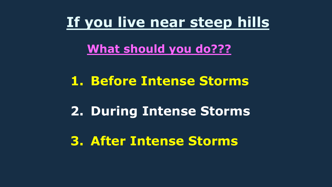### **If you live near steep hills**

### **What should you do???**

### **1. Before Intense Storms**

### **2. During Intense Storms**

### **3. After Intense Storms**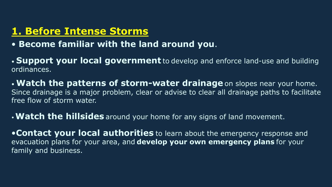#### **1. Before Intense Storms**

- **Become familiar with the land around you**.
- **Support your local government** to develop and enforce land-use and building ordinances.
- **Watch the patterns of storm-water drainage**on slopes near your home. Since drainage is a major problem, clear or advise to clear all drainage paths to facilitate free flow of storm water.
- •**Watch the hillsides** around your home for any signs of land movement.
- •**Contact your local authorities** to learn about the emergency response and evacuation plans for your area, and **develop your own emergency plans** for your family and business.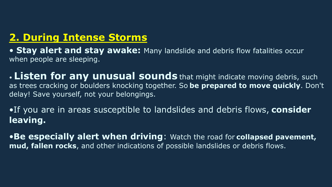### **2. During Intense Storms**

• **Stay alert and stay awake:** Many landslide and debris flow fatalities occur when people are sleeping.

• **Listen for any unusual sounds** that might indicate moving debris, such as trees cracking or boulders knocking together. So **be prepared to move quickly**. Don't delay! Save yourself, not your belongings.

•If you are in areas susceptible to landslides and debris flows, **consider leaving.**

•**Be especially alert when driving**: Watch the road for **collapsed pavement, mud, fallen rocks**, and other indications of possible landslides or debris flows.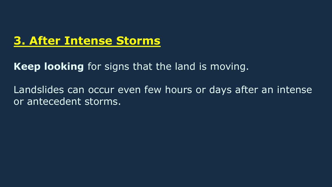### **3. After Intense Storms**

**Keep looking** for signs that the land is moving.

Landslides can occur even few hours or days after an intense or antecedent storms.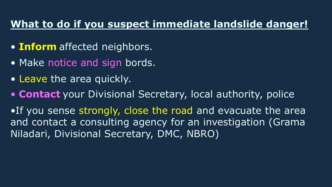### **What to do if you suspect immediate landslide danger!**

- **Inform** affected neighbors.
- Make notice and sign bords.
- Leave the area quickly.
- **Contact** your Divisional Secretary, local authority, police

•If you sense strongly, close the road and evacuate the area and contact a consulting agency for an investigation (Grama Niladari, Divisional Secretary, DMC, NBRO)